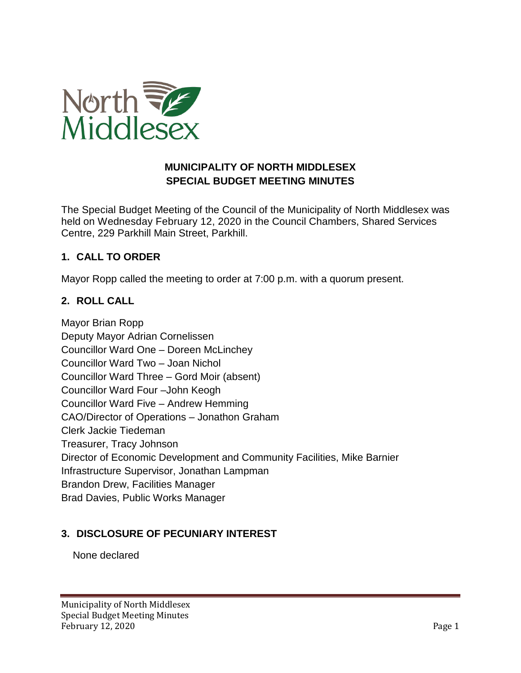

# **MUNICIPALITY OF NORTH MIDDLESEX SPECIAL BUDGET MEETING MINUTES**

The Special Budget Meeting of the Council of the Municipality of North Middlesex was held on Wednesday February 12, 2020 in the Council Chambers, Shared Services Centre, 229 Parkhill Main Street, Parkhill.

# **1. CALL TO ORDER**

Mayor Ropp called the meeting to order at 7:00 p.m. with a quorum present.

# **2. ROLL CALL**

Mayor Brian Ropp Deputy Mayor Adrian Cornelissen Councillor Ward One – Doreen McLinchey Councillor Ward Two – Joan Nichol Councillor Ward Three – Gord Moir (absent) Councillor Ward Four –John Keogh Councillor Ward Five – Andrew Hemming CAO/Director of Operations – Jonathon Graham Clerk Jackie Tiedeman Treasurer, Tracy Johnson Director of Economic Development and Community Facilities, Mike Barnier Infrastructure Supervisor, Jonathan Lampman Brandon Drew, Facilities Manager Brad Davies, Public Works Manager

## **3. DISCLOSURE OF PECUNIARY INTEREST**

None declared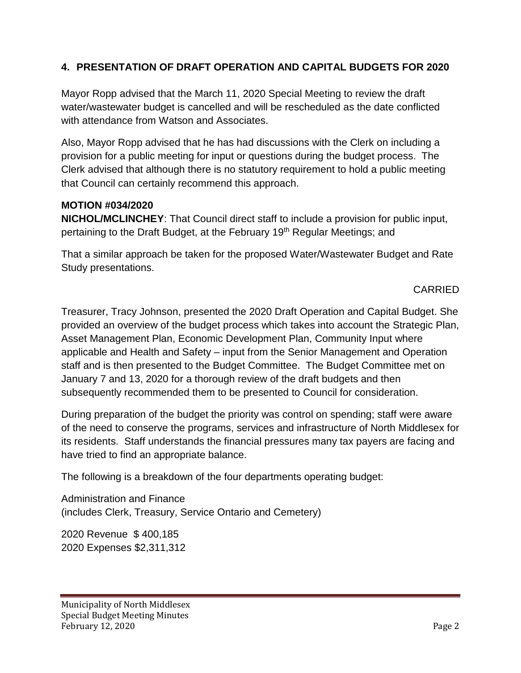# **4. PRESENTATION OF DRAFT OPERATION AND CAPITAL BUDGETS FOR 2020**

Mayor Ropp advised that the March 11, 2020 Special Meeting to review the draft water/wastewater budget is cancelled and will be rescheduled as the date conflicted with attendance from Watson and Associates.

Also, Mayor Ropp advised that he has had discussions with the Clerk on including a provision for a public meeting for input or questions during the budget process. The Clerk advised that although there is no statutory requirement to hold a public meeting that Council can certainly recommend this approach.

#### **MOTION #034/2020**

**NICHOL/MCLINCHEY**: That Council direct staff to include a provision for public input, pertaining to the Draft Budget, at the February 19<sup>th</sup> Regular Meetings; and

That a similar approach be taken for the proposed Water/Wastewater Budget and Rate Study presentations.

CARRIED

Treasurer, Tracy Johnson, presented the 2020 Draft Operation and Capital Budget. She provided an overview of the budget process which takes into account the Strategic Plan, Asset Management Plan, Economic Development Plan, Community Input where applicable and Health and Safety – input from the Senior Management and Operation staff and is then presented to the Budget Committee. The Budget Committee met on January 7 and 13, 2020 for a thorough review of the draft budgets and then subsequently recommended them to be presented to Council for consideration.

During preparation of the budget the priority was control on spending; staff were aware of the need to conserve the programs, services and infrastructure of North Middlesex for its residents. Staff understands the financial pressures many tax payers are facing and have tried to find an appropriate balance.

The following is a breakdown of the four departments operating budget:

Administration and Finance (includes Clerk, Treasury, Service Ontario and Cemetery)

2020 Revenue \$ 400,185 2020 Expenses \$2,311,312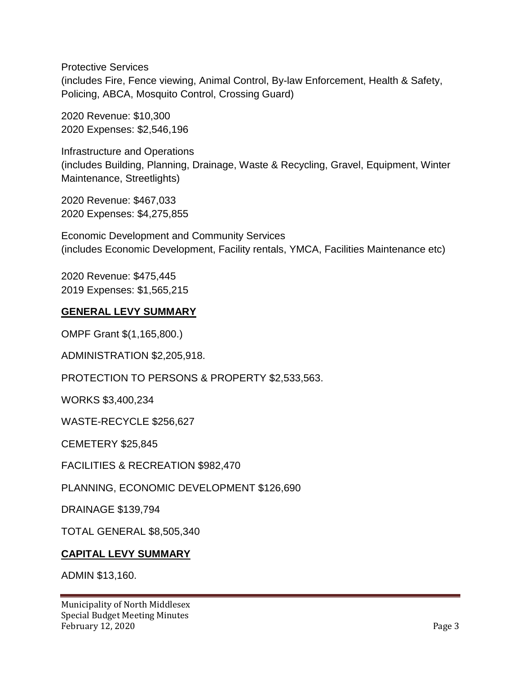Protective Services (includes Fire, Fence viewing, Animal Control, By-law Enforcement, Health & Safety, Policing, ABCA, Mosquito Control, Crossing Guard)

2020 Revenue: \$10,300 2020 Expenses: \$2,546,196

Infrastructure and Operations (includes Building, Planning, Drainage, Waste & Recycling, Gravel, Equipment, Winter Maintenance, Streetlights)

2020 Revenue: \$467,033 2020 Expenses: \$4,275,855

Economic Development and Community Services (includes Economic Development, Facility rentals, YMCA, Facilities Maintenance etc)

2020 Revenue: \$475,445 2019 Expenses: \$1,565,215

## **GENERAL LEVY SUMMARY**

OMPF Grant \$(1,165,800.)

ADMINISTRATION \$2,205,918.

PROTECTION TO PERSONS & PROPERTY \$2,533,563.

WORKS \$3,400,234

WASTE-RECYCLE \$256,627

CEMETERY \$25,845

FACILITIES & RECREATION \$982,470

PLANNING, ECONOMIC DEVELOPMENT \$126,690

DRAINAGE \$139,794

TOTAL GENERAL \$8,505,340

#### **CAPITAL LEVY SUMMARY**

ADMIN \$13,160.